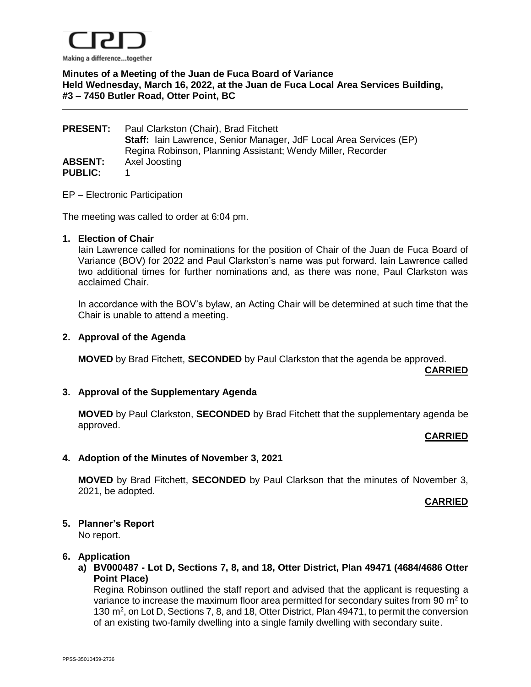

# **Minutes of a Meeting of the Juan de Fuca Board of Variance Held Wednesday, March 16, 2022, at the Juan de Fuca Local Area Services Building, #3 – 7450 Butler Road, Otter Point, BC**

| <b>PRESENT:</b> | Paul Clarkston (Chair), Brad Fitchett                                     |
|-----------------|---------------------------------------------------------------------------|
|                 | <b>Staff:</b> Iain Lawrence, Senior Manager, JdF Local Area Services (EP) |
|                 | Regina Robinson, Planning Assistant; Wendy Miller, Recorder               |
| <b>ABSENT:</b>  | Axel Joosting                                                             |
| <b>PUBLIC:</b>  |                                                                           |

EP – Electronic Participation

The meeting was called to order at 6:04 pm.

### **1. Election of Chair**

Iain Lawrence called for nominations for the position of Chair of the Juan de Fuca Board of Variance (BOV) for 2022 and Paul Clarkston's name was put forward. Iain Lawrence called two additional times for further nominations and, as there was none, Paul Clarkston was acclaimed Chair.

In accordance with the BOV's bylaw, an Acting Chair will be determined at such time that the Chair is unable to attend a meeting.

## **2. Approval of the Agenda**

**MOVED** by Brad Fitchett, **SECONDED** by Paul Clarkston that the agenda be approved.

**CARRIED**

## **3. Approval of the Supplementary Agenda**

**MOVED** by Paul Clarkston, **SECONDED** by Brad Fitchett that the supplementary agenda be approved.

## **CARRIED**

## **4. Adoption of the Minutes of November 3, 2021**

**MOVED** by Brad Fitchett, **SECONDED** by Paul Clarkson that the minutes of November 3, 2021, be adopted.

#### **CARRIED**

## **5. Planner's Report**

No report.

#### **6. Application**

**a) BV000487 - Lot D, Sections 7, 8, and 18, Otter District, Plan 49471 (4684/4686 Otter Point Place)**

Regina Robinson outlined the staff report and advised that the applicant is requesting a variance to increase the maximum floor area permitted for secondary suites from 90  $m^2$  to 130 m<sup>2</sup>, on Lot D, Sections 7, 8, and 18, Otter District, Plan 49471, to permit the conversion of an existing two-family dwelling into a single family dwelling with secondary suite.